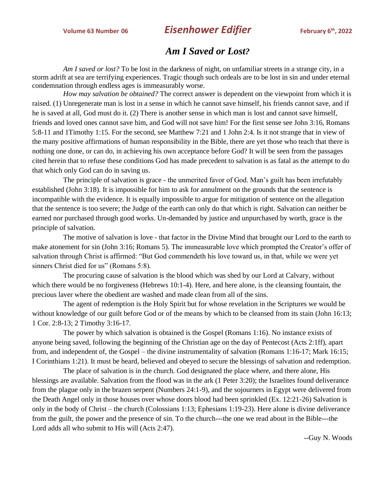## **Volume 63 Number 06 Eisenhower Edifier**

## *Am I Saved or Lost?*

*Am I saved or lost?* To be lost in the darkness of night, on unfamiliar streets in a strange city, in a storm adrift at sea are terrifying experiences. Tragic though such ordeals are to be lost in sin and under eternal condemnation through endless ages is immeasurably worse.

*How may salvation be obtained?* The correct answer is dependent on the viewpoint from which it is raised. (1) Unregenerate man is lost in a sense in which he cannot save himself, his friends cannot save, and if he is saved at all, God must do it. (2) There is another sense in which man is lost and cannot save himself, friends and loved ones cannot save him, and God will not save him! For the first sense see John 3:16, Romans 5:8-11 and 1Timothy 1:15. For the second, see Matthew 7:21 and 1 John 2:4. Is it not strange that in view of the many positive affirmations of human responsibility in the Bible, there are yet those who teach that there is nothing one done, or can do, in achieving his own acceptance before God? It will be seen from the passages cited herein that to refuse these conditions God has made precedent to salvation is as fatal as the attempt to do that which only God can do in saving us.

The principle of salvation is grace - the unmerited favor of God. Man's guilt has been irrefutably established (John 3:18). It is impossible for him to ask for annulment on the grounds that the sentence is incompatible with the evidence. It is equally impossible to argue for mitigation of sentence on the allegation that the sentence is too severe; the Judge of the earth can only do that which is right. Salvation can neither be earned nor purchased through good works. Un-demanded by justice and unpurchased by worth, grace is the principle of salvation.

The motive of salvation is love - that factor in the Divine Mind that brought our Lord to the earth to make atonement for sin (John 3:16; Romans 5). The immeasurable love which prompted the Creator's offer of salvation through Christ is affirmed: "But God commendeth his love toward us, in that, while we were yet sinners Christ died for us" (Romans 5:8).

The procuring cause of salvation is the blood which was shed by our Lord at Calvary, without which there would be no forgiveness (Hebrews 10:1-4). Here, and here alone, is the cleansing fountain, the precious laver where the obedient are washed and made clean from all of the sins.

The agent of redemption is the Holy Spirit but for whose revelation in the Scriptures we would be without knowledge of our guilt before God or of the means by which to be cleansed from its stain (John 16:13; 1 Cor. 2:8-13; 2 Timothy 3:16-17.

The power by which salvation is obtained is the Gospel (Romans 1:16). No instance exists of anyone being saved, following the beginning of the Christian age on the day of Pentecost (Acts 2:1ff), apart from, and independent of, the Gospel – the divine instrumentality of salvation (Romans 1:16-17; Mark 16:15; I Corinthians 1:21). It must be heard, believed and obeyed to secure the blessings of salvation and redemption.

The place of salvation is in the church. God designated the place where, and there alone, His blessings are available. Salvation from the flood was in the ark (1 Peter 3:20); the Israelites found deliverance from the plague only in the brazen serpent (Numbers 24:1-9), and the sojourners in Egypt were delivered from the Death Angel only in those houses over whose doors blood had been sprinkled (Ex. 12:21-26) Salvation is only in the body of Christ – the church (Colossians 1:13; Ephesians 1:19-23). Here alone is divine deliverance from the guilt, the power and the presence of sin. To the church---the one we read about in the Bible---the Lord adds all who submit to His will (Acts 2:47).

--Guy N. Woods